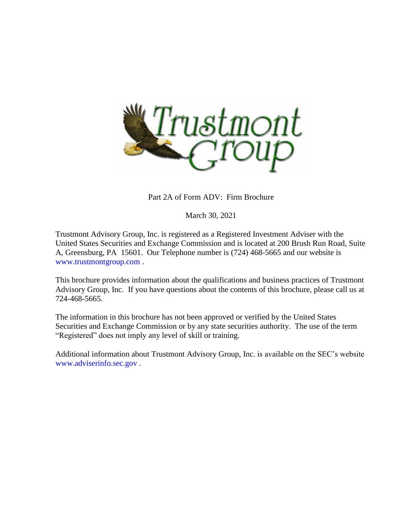

Part 2A of Form ADV: Firm Brochure

March 30, 2021

Trustmont Advisory Group, Inc. is registered as a Registered Investment Adviser with the United States Securities and Exchange Commission and is located at 200 Brush Run Road, Suite A, Greensburg, PA 15601. Our Telephone number is (724) 468-5665 and our website is [www.trustmontgroup.com](http://www.trustmontgroup.com/) .

This brochure provides information about the qualifications and business practices of Trustmont Advisory Group, Inc. If you have questions about the contents of this brochure, please call us at 724-468-5665.

The information in this brochure has not been approved or verified by the United States Securities and Exchange Commission or by any state securities authority. The use of the term "Registered" does not imply any level of skill or training.

Additional information about Trustmont Advisory Group, Inc. is available on the SEC's website [www.adviserinfo.sec.gov](http://www.adviserinfo.sec.gov/) .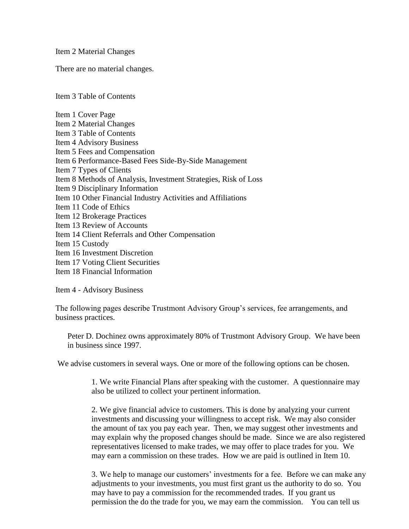Item 2 Material Changes

There are no material changes.

Item 3 Table of Contents

Item 1 Cover Page Item 2 Material Changes Item 3 Table of Contents Item 4 Advisory Business Item 5 Fees and Compensation Item 6 Performance-Based Fees Side-By-Side Management Item 7 Types of Clients Item 8 Methods of Analysis, Investment Strategies, Risk of Loss Item 9 Disciplinary Information Item 10 Other Financial Industry Activities and Affiliations Item 11 Code of Ethics Item 12 Brokerage Practices Item 13 Review of Accounts Item 14 Client Referrals and Other Compensation Item 15 Custody Item 16 Investment Discretion Item 17 Voting Client Securities Item 18 Financial Information

Item 4 - Advisory Business

The following pages describe Trustmont Advisory Group's services, fee arrangements, and business practices.

Peter D. Dochinez owns approximately 80% of Trustmont Advisory Group. We have been in business since 1997.

We advise customers in several ways. One or more of the following options can be chosen.

1. We write Financial Plans after speaking with the customer. A questionnaire may also be utilized to collect your pertinent information.

2. We give financial advice to customers. This is done by analyzing your current investments and discussing your willingness to accept risk. We may also consider the amount of tax you pay each year. Then, we may suggest other investments and may explain why the proposed changes should be made. Since we are also registered representatives licensed to make trades, we may offer to place trades for you. We may earn a commission on these trades. How we are paid is outlined in Item 10.

3. We help to manage our customers' investments for a fee. Before we can make any adjustments to your investments, you must first grant us the authority to do so. You may have to pay a commission for the recommended trades. If you grant us permission the do the trade for you, we may earn the commission. You can tell us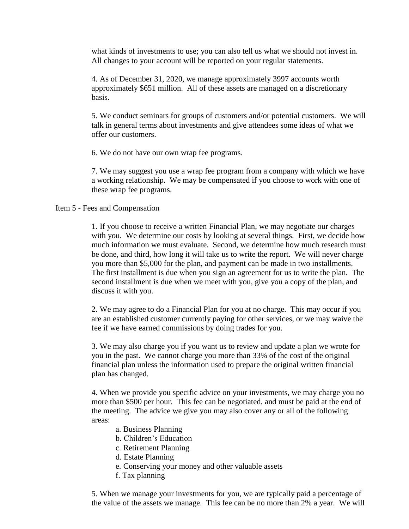what kinds of investments to use; you can also tell us what we should not invest in. All changes to your account will be reported on your regular statements.

4. As of December 31, 2020, we manage approximately 3997 accounts worth approximately \$651 million. All of these assets are managed on a discretionary basis.

5. We conduct seminars for groups of customers and/or potential customers. We will talk in general terms about investments and give attendees some ideas of what we offer our customers.

6. We do not have our own wrap fee programs.

7. We may suggest you use a wrap fee program from a company with which we have a working relationship. We may be compensated if you choose to work with one of these wrap fee programs.

## Item 5 - Fees and Compensation

1. If you choose to receive a written Financial Plan, we may negotiate our charges with you. We determine our costs by looking at several things. First, we decide how much information we must evaluate. Second, we determine how much research must be done, and third, how long it will take us to write the report. We will never charge you more than \$5,000 for the plan, and payment can be made in two installments. The first installment is due when you sign an agreement for us to write the plan. The second installment is due when we meet with you, give you a copy of the plan, and discuss it with you.

2. We may agree to do a Financial Plan for you at no charge. This may occur if you are an established customer currently paying for other services, or we may waive the fee if we have earned commissions by doing trades for you.

3. We may also charge you if you want us to review and update a plan we wrote for you in the past. We cannot charge you more than 33% of the cost of the original financial plan unless the information used to prepare the original written financial plan has changed.

4. When we provide you specific advice on your investments, we may charge you no more than \$500 per hour. This fee can be negotiated, and must be paid at the end of the meeting. The advice we give you may also cover any or all of the following areas:

- a. Business Planning
- b. Children's Education
- c. Retirement Planning
- d. Estate Planning
- e. Conserving your money and other valuable assets
- f. Tax planning

5. When we manage your investments for you, we are typically paid a percentage of the value of the assets we manage. This fee can be no more than 2% a year. We will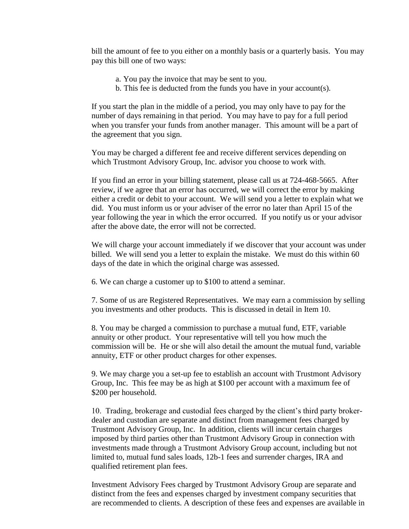bill the amount of fee to you either on a monthly basis or a quarterly basis. You may pay this bill one of two ways:

- a. You pay the invoice that may be sent to you.
- b. This fee is deducted from the funds you have in your account(s).

If you start the plan in the middle of a period, you may only have to pay for the number of days remaining in that period. You may have to pay for a full period when you transfer your funds from another manager. This amount will be a part of the agreement that you sign.

You may be charged a different fee and receive different services depending on which Trustmont Advisory Group, Inc. advisor you choose to work with.

If you find an error in your billing statement, please call us at 724-468-5665. After review, if we agree that an error has occurred, we will correct the error by making either a credit or debit to your account. We will send you a letter to explain what we did. You must inform us or your adviser of the error no later than April 15 of the year following the year in which the error occurred. If you notify us or your advisor after the above date, the error will not be corrected.

We will charge your account immediately if we discover that your account was under billed. We will send you a letter to explain the mistake. We must do this within 60 days of the date in which the original charge was assessed.

6. We can charge a customer up to \$100 to attend a seminar.

7. Some of us are Registered Representatives. We may earn a commission by selling you investments and other products. This is discussed in detail in Item 10.

8. You may be charged a commission to purchase a mutual fund, ETF, variable annuity or other product. Your representative will tell you how much the commission will be. He or she will also detail the amount the mutual fund, variable annuity, ETF or other product charges for other expenses.

9. We may charge you a set-up fee to establish an account with Trustmont Advisory Group, Inc. This fee may be as high at \$100 per account with a maximum fee of \$200 per household.

10. Trading, brokerage and custodial fees charged by the client's third party brokerdealer and custodian are separate and distinct from management fees charged by Trustmont Advisory Group, Inc. In addition, clients will incur certain charges imposed by third parties other than Trustmont Advisory Group in connection with investments made through a Trustmont Advisory Group account, including but not limited to, mutual fund sales loads, 12b-1 fees and surrender charges, IRA and qualified retirement plan fees.

Investment Advisory Fees charged by Trustmont Advisory Group are separate and distinct from the fees and expenses charged by investment company securities that are recommended to clients. A description of these fees and expenses are available in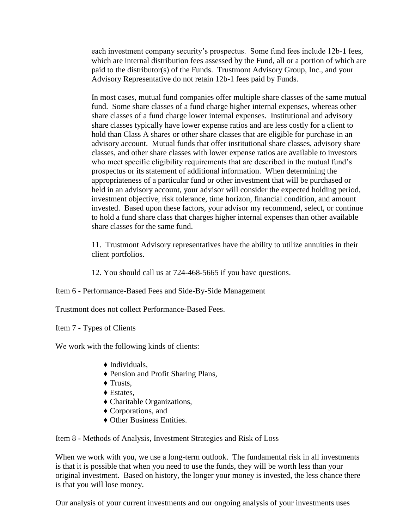each investment company security's prospectus. Some fund fees include 12b-1 fees, which are internal distribution fees assessed by the Fund, all or a portion of which are paid to the distributor(s) of the Funds. Trustmont Advisory Group, Inc., and your Advisory Representative do not retain 12b-1 fees paid by Funds.

In most cases, mutual fund companies offer multiple share classes of the same mutual fund. Some share classes of a fund charge higher internal expenses, whereas other share classes of a fund charge lower internal expenses. Institutional and advisory share classes typically have lower expense ratios and are less costly for a client to hold than Class A shares or other share classes that are eligible for purchase in an advisory account. Mutual funds that offer institutional share classes, advisory share classes, and other share classes with lower expense ratios are available to investors who meet specific eligibility requirements that are described in the mutual fund's prospectus or its statement of additional information. When determining the appropriateness of a particular fund or other investment that will be purchased or held in an advisory account, your advisor will consider the expected holding period, investment objective, risk tolerance, time horizon, financial condition, and amount invested. Based upon these factors, your advisor my recommend, select, or continue to hold a fund share class that charges higher internal expenses than other available share classes for the same fund.

11. Trustmont Advisory representatives have the ability to utilize annuities in their client portfolios.

12. You should call us at 724-468-5665 if you have questions.

Item 6 - Performance-Based Fees and Side-By-Side Management

Trustmont does not collect Performance-Based Fees.

Item 7 - Types of Clients

We work with the following kinds of clients:

- $\blacklozenge$  Individuals.
- ♦ Pension and Profit Sharing Plans,
- ♦ Trusts,
- ♦ Estates,
- ♦ Charitable Organizations,
- ♦ Corporations, and
- ♦ Other Business Entities.

Item 8 - Methods of Analysis, Investment Strategies and Risk of Loss

When we work with you, we use a long-term outlook. The fundamental risk in all investments is that it is possible that when you need to use the funds, they will be worth less than your original investment. Based on history, the longer your money is invested, the less chance there is that you will lose money.

Our analysis of your current investments and our ongoing analysis of your investments uses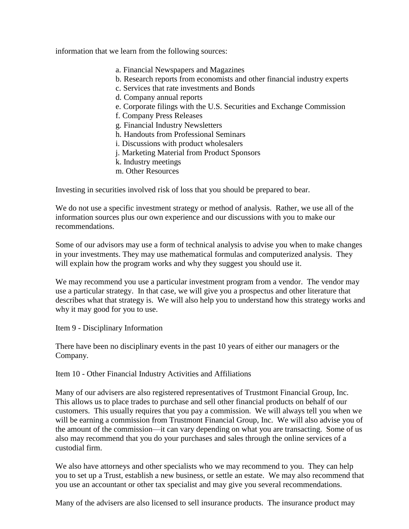information that we learn from the following sources:

- a. Financial Newspapers and Magazines
- b. Research reports from economists and other financial industry experts
- c. Services that rate investments and Bonds
- d. Company annual reports
- e. Corporate filings with the U.S. Securities and Exchange Commission
- f. Company Press Releases
- g. Financial Industry Newsletters
- h. Handouts from Professional Seminars
- i. Discussions with product wholesalers
- j. Marketing Material from Product Sponsors
- k. Industry meetings
- m. Other Resources

Investing in securities involved risk of loss that you should be prepared to bear.

We do not use a specific investment strategy or method of analysis. Rather, we use all of the information sources plus our own experience and our discussions with you to make our recommendations.

Some of our advisors may use a form of technical analysis to advise you when to make changes in your investments. They may use mathematical formulas and computerized analysis. They will explain how the program works and why they suggest you should use it.

We may recommend you use a particular investment program from a vendor. The vendor may use a particular strategy. In that case, we will give you a prospectus and other literature that describes what that strategy is. We will also help you to understand how this strategy works and why it may good for you to use.

Item 9 - Disciplinary Information

There have been no disciplinary events in the past 10 years of either our managers or the Company.

Item 10 - Other Financial Industry Activities and Affiliations

Many of our advisers are also registered representatives of Trustmont Financial Group, Inc. This allows us to place trades to purchase and sell other financial products on behalf of our customers. This usually requires that you pay a commission. We will always tell you when we will be earning a commission from Trustmont Financial Group, Inc. We will also advise you of the amount of the commission—it can vary depending on what you are transacting. Some of us also may recommend that you do your purchases and sales through the online services of a custodial firm.

We also have attorneys and other specialists who we may recommend to you. They can help you to set up a Trust, establish a new business, or settle an estate. We may also recommend that you use an accountant or other tax specialist and may give you several recommendations.

Many of the advisers are also licensed to sell insurance products. The insurance product may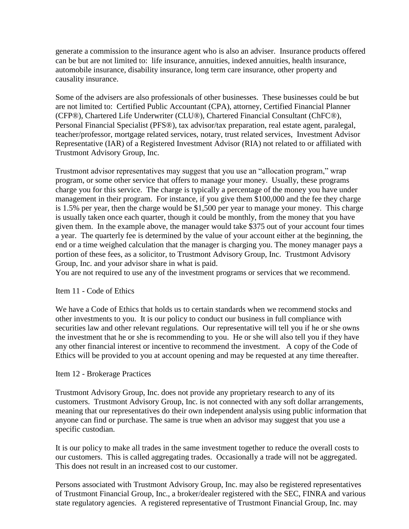generate a commission to the insurance agent who is also an adviser. Insurance products offered can be but are not limited to: life insurance, annuities, indexed annuities, health insurance, automobile insurance, disability insurance, long term care insurance, other property and causality insurance.

Some of the advisers are also professionals of other businesses. These businesses could be but are not limited to: Certified Public Accountant (CPA), attorney, Certified Financial Planner (CFP®), Chartered Life Underwriter (CLU®), Chartered Financial Consultant (ChFC®), Personal Financial Specialist (PFS®), tax advisor/tax preparation, real estate agent, paralegal, teacher/professor, mortgage related services, notary, trust related services, Investment Advisor Representative (IAR) of a Registered Investment Advisor (RIA) not related to or affiliated with Trustmont Advisory Group, Inc.

Trustmont advisor representatives may suggest that you use an "allocation program," wrap program, or some other service that offers to manage your money. Usually, these programs charge you for this service. The charge is typically a percentage of the money you have under management in their program. For instance, if you give them \$100,000 and the fee they charge is 1.5% per year, then the charge would be \$1,500 per year to manage your money. This charge is usually taken once each quarter, though it could be monthly, from the money that you have given them. In the example above, the manager would take \$375 out of your account four times a year. The quarterly fee is determined by the value of your account either at the beginning, the end or a time weighed calculation that the manager is charging you. The money manager pays a portion of these fees, as a solicitor, to Trustmont Advisory Group, Inc. Trustmont Advisory Group, Inc. and your advisor share in what is paid.

You are not required to use any of the investment programs or services that we recommend.

## Item 11 - Code of Ethics

We have a Code of Ethics that holds us to certain standards when we recommend stocks and other investments to you. It is our policy to conduct our business in full compliance with securities law and other relevant regulations. Our representative will tell you if he or she owns the investment that he or she is recommending to you. He or she will also tell you if they have any other financial interest or incentive to recommend the investment. A copy of the Code of Ethics will be provided to you at account opening and may be requested at any time thereafter.

## Item 12 - Brokerage Practices

Trustmont Advisory Group, Inc. does not provide any proprietary research to any of its customers. Trustmont Advisory Group, Inc. is not connected with any soft dollar arrangements, meaning that our representatives do their own independent analysis using public information that anyone can find or purchase. The same is true when an advisor may suggest that you use a specific custodian.

It is our policy to make all trades in the same investment together to reduce the overall costs to our customers. This is called aggregating trades. Occasionally a trade will not be aggregated. This does not result in an increased cost to our customer.

Persons associated with Trustmont Advisory Group, Inc. may also be registered representatives of Trustmont Financial Group, Inc., a broker/dealer registered with the SEC, FINRA and various state regulatory agencies. A registered representative of Trustmont Financial Group, Inc. may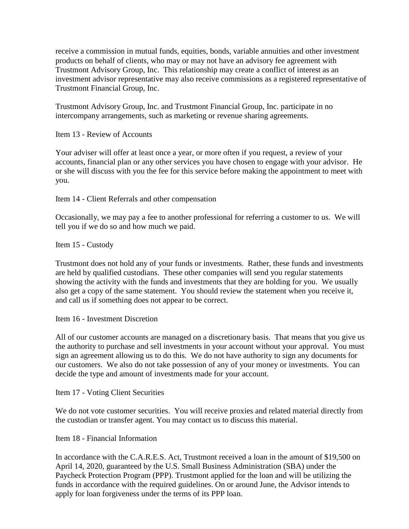receive a commission in mutual funds, equities, bonds, variable annuities and other investment products on behalf of clients, who may or may not have an advisory fee agreement with Trustmont Advisory Group, Inc. This relationship may create a conflict of interest as an investment advisor representative may also receive commissions as a registered representative of Trustmont Financial Group, Inc.

Trustmont Advisory Group, Inc. and Trustmont Financial Group, Inc. participate in no intercompany arrangements, such as marketing or revenue sharing agreements.

Item 13 - Review of Accounts

Your adviser will offer at least once a year, or more often if you request, a review of your accounts, financial plan or any other services you have chosen to engage with your advisor. He or she will discuss with you the fee for this service before making the appointment to meet with you.

Item 14 - Client Referrals and other compensation

Occasionally, we may pay a fee to another professional for referring a customer to us. We will tell you if we do so and how much we paid.

Item 15 - Custody

Trustmont does not hold any of your funds or investments. Rather, these funds and investments are held by qualified custodians. These other companies will send you regular statements showing the activity with the funds and investments that they are holding for you. We usually also get a copy of the same statement. You should review the statement when you receive it, and call us if something does not appear to be correct.

Item 16 - Investment Discretion

All of our customer accounts are managed on a discretionary basis. That means that you give us the authority to purchase and sell investments in your account without your approval. You must sign an agreement allowing us to do this. We do not have authority to sign any documents for our customers. We also do not take possession of any of your money or investments. You can decide the type and amount of investments made for your account.

Item 17 - Voting Client Securities

We do not vote customer securities. You will receive proxies and related material directly from the custodian or transfer agent. You may contact us to discuss this material.

Item 18 - Financial Information

In accordance with the C.A.R.E.S. Act, Trustmont received a loan in the amount of \$19,500 on April 14, 2020, guaranteed by the U.S. Small Business Administration (SBA) under the Paycheck Protection Program (PPP). Trustmont applied for the loan and will be utilizing the funds in accordance with the required guidelines. On or around June, the Advisor intends to apply for loan forgiveness under the terms of its PPP loan.